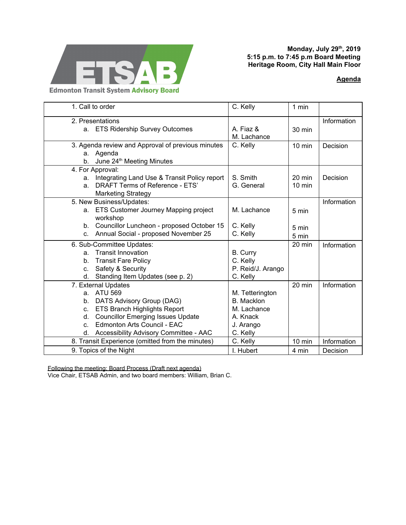

## **Monday, July 29 th , 2019 5:15 p.m. to 7:45 p.m Board Meeting Heritage Room, City Hall Main Floor**

## **[Agenda](https://drive.google.com/open?id=13FD2K8N7gG1gSsGTcUDwToMttZwoo-Lm)**

| 1. Call to order                                  |                                              | C. Kelly          | 1 min            |             |
|---------------------------------------------------|----------------------------------------------|-------------------|------------------|-------------|
| 2. Presentations                                  |                                              |                   |                  | Information |
|                                                   | a. ETS Ridership Survey Outcomes             | A. Fiaz &         | 30 min           |             |
|                                                   |                                              | M. Lachance       |                  |             |
| 3. Agenda review and Approval of previous minutes |                                              | C. Kelly          | 10 min           | Decision    |
|                                                   | a. Agenda                                    |                   |                  |             |
| $b_{-}$                                           | June 24 <sup>th</sup> Meeting Minutes        |                   |                  |             |
| 4. For Approval:                                  |                                              |                   |                  |             |
| a.                                                | Integrating Land Use & Transit Policy report | S. Smith          | $20 \text{ min}$ | Decision    |
| a.                                                | DRAFT Terms of Reference - ETS'              | G. General        | 10 min           |             |
|                                                   | <b>Marketing Strategy</b>                    |                   |                  |             |
| 5. New Business/Updates:                          |                                              |                   |                  | Information |
|                                                   | a. ETS Customer Journey Mapping project      | M. Lachance       | 5 min            |             |
|                                                   | workshop                                     |                   |                  |             |
|                                                   | b. Councillor Luncheon - proposed October 15 | C. Kelly          | 5 min            |             |
| C <sub>1</sub>                                    | Annual Social - proposed November 25         | C. Kelly          | 5 min            |             |
| 6. Sub-Committee Updates:                         |                                              |                   | 20 min           | Information |
| a.                                                | <b>Transit Innovation</b>                    | <b>B.</b> Curry   |                  |             |
| $b_{1}$                                           | <b>Transit Fare Policy</b>                   | C. Kelly          |                  |             |
| C.                                                | Safety & Security                            | P. Reid/J. Arango |                  |             |
| d.                                                | Standing Item Updates (see p. 2)             | C. Kelly          |                  |             |
| 7. External Updates                               |                                              |                   | 20 min           | Information |
|                                                   | a. ATU 569                                   | M. Tetterington   |                  |             |
| b.                                                | DATS Advisory Group (DAG)                    | <b>B.</b> Macklon |                  |             |
| C.                                                | ETS Branch Highlights Report                 | M. Lachance       |                  |             |
| d.                                                | <b>Councillor Emerging Issues Update</b>     | A. Knack          |                  |             |
| $C_{-}$                                           | Edmonton Arts Council - EAC                  | J. Arango         |                  |             |
| d.                                                | Accessibility Advisory Committee - AAC       | C. Kelly          |                  |             |
| 8. Transit Experience (omitted from the minutes)  |                                              | C. Kelly          | 10 min           | Information |
| 9. Topics of the Night                            |                                              | I. Hubert         | 4 min            | Decision    |

Following the meeting: Board Process (Draft next agenda)

Vice Chair, ETSAB Admin, and two board members: William, Brian C.